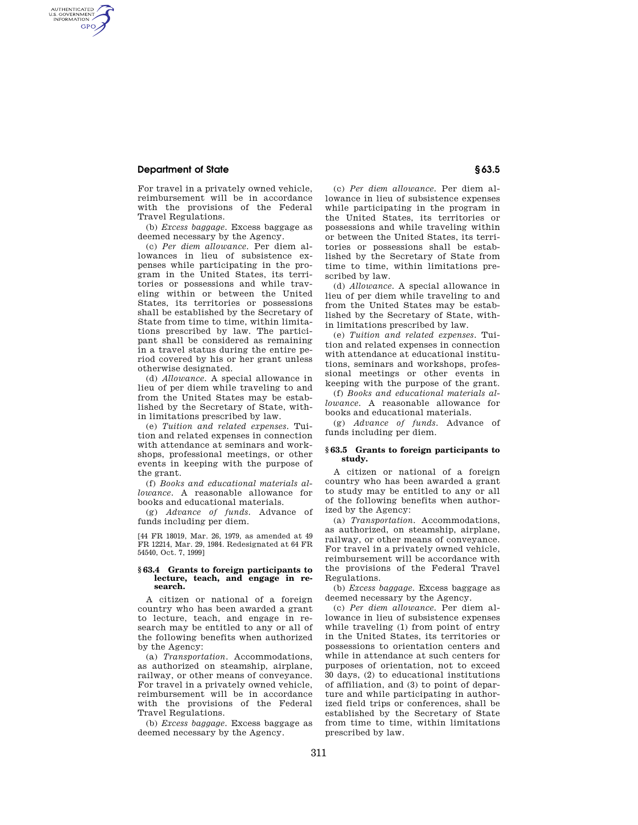# **Department of State § 63.5**

AUTHENTICATED<br>U.S. GOVERNMENT<br>INFORMATION GPO

> For travel in a privately owned vehicle, reimbursement will be in accordance with the provisions of the Federal Travel Regulations.

> (b) *Excess baggage.* Excess baggage as deemed necessary by the Agency.

(c) *Per diem allowance.* Per diem allowances in lieu of subsistence expenses while participating in the program in the United States, its territories or possessions and while traveling within or between the United States, its territories or possessions shall be established by the Secretary of State from time to time, within limitations prescribed by law. The participant shall be considered as remaining in a travel status during the entire period covered by his or her grant unless otherwise designated.

(d) *Allowance.* A special allowance in lieu of per diem while traveling to and from the United States may be established by the Secretary of State, within limitations prescribed by law.

(e) *Tuition and related expenses.* Tuition and related expenses in connection with attendance at seminars and workshops, professional meetings, or other events in keeping with the purpose of the grant.

(f) *Books and educational materials allowance.* A reasonable allowance for books and educational materials.

(g) *Advance of funds.* Advance of funds including per diem.

[44 FR 18019, Mar. 26, 1979, as amended at 49 FR 12214, Mar. 29, 1984. Redesignated at 64 FR 54540, Oct. 7, 1999]

## **§ 63.4 Grants to foreign participants to lecture, teach, and engage in research.**

A citizen or national of a foreign country who has been awarded a grant to lecture, teach, and engage in research may be entitled to any or all of the following benefits when authorized by the Agency:

(a) *Transportation.* Accommodations, as authorized on steamship, airplane, railway, or other means of conveyance. For travel in a privately owned vehicle, reimbursement will be in accordance with the provisions of the Federal Travel Regulations.

(b) *Excess baggage.* Excess baggage as deemed necessary by the Agency.

(c) *Per diem allowance.* Per diem allowance in lieu of subsistence expenses while participating in the program in the United States, its territories or possessions and while traveling within or between the United States, its territories or possessions shall be established by the Secretary of State from time to time, within limitations prescribed by law.

(d) *Allowance.* A special allowance in lieu of per diem while traveling to and from the United States may be established by the Secretary of State, within limitations prescribed by law.

(e) *Tuition and related expenses.* Tuition and related expenses in connection with attendance at educational institutions, seminars and workshops, professional meetings or other events in keeping with the purpose of the grant.

(f) *Books and educational materials allowance.* A reasonable allowance for books and educational materials.

(g) *Advance of funds.* Advance of funds including per diem.

### **§ 63.5 Grants to foreign participants to study.**

A citizen or national of a foreign country who has been awarded a grant to study may be entitled to any or all of the following benefits when authorized by the Agency:

(a) *Transportation.* Accommodations, as authorized, on steamship, airplane, railway, or other means of conveyance. For travel in a privately owned vehicle, reimbursement will be accordance with the provisions of the Federal Travel Regulations.

(b) *Excess baggage.* Excess baggage as deemed necessary by the Agency.

(c) *Per diem allowance.* Per diem allowance in lieu of subsistence expenses while traveling (1) from point of entry in the United States, its territories or possessions to orientation centers and while in attendance at such centers for purposes of orientation, not to exceed 30 days, (2) to educational institutions of affiliation, and (3) to point of departure and while participating in authorized field trips or conferences, shall be established by the Secretary of State from time to time, within limitations prescribed by law.